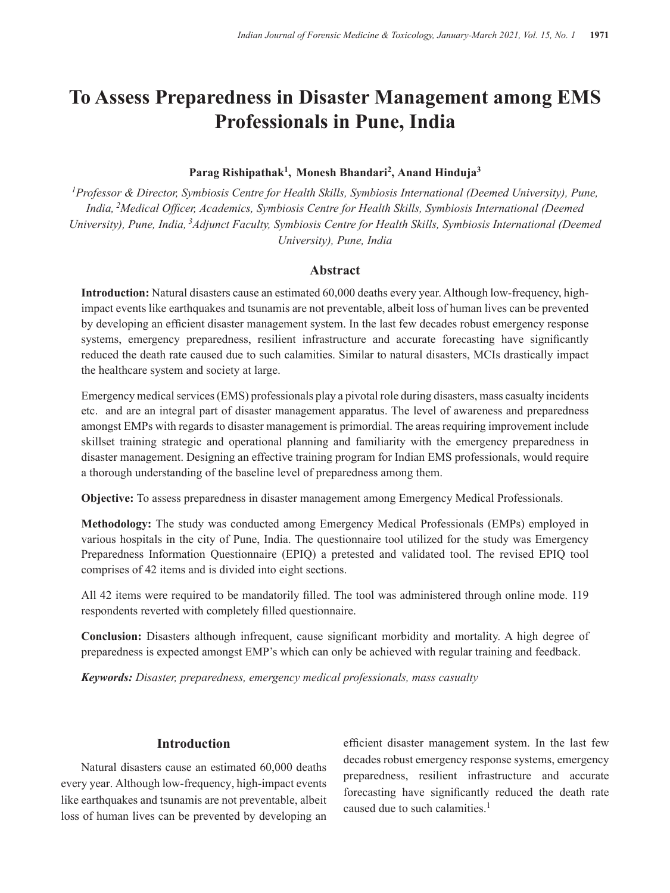# **To Assess Preparedness in Disaster Management among EMS Professionals in Pune, India**

#### **Parag Rishipathak1, Monesh Bhandari2, Anand Hinduja3**

*1Professor & Director, Symbiosis Centre for Health Skills, Symbiosis International (Deemed University), Pune, India, 2Medical Officer, Academics, Symbiosis Centre for Health Skills, Symbiosis International (Deemed University), Pune, India, 3Adjunct Faculty, Symbiosis Centre for Health Skills, Symbiosis International (Deemed University), Pune, India*

#### **Abstract**

**Introduction:** Natural disasters cause an estimated 60,000 deaths every year. Although low-frequency, highimpact events like earthquakes and tsunamis are not preventable, albeit loss of human lives can be prevented by developing an efficient disaster management system. In the last few decades robust emergency response systems, emergency preparedness, resilient infrastructure and accurate forecasting have significantly reduced the death rate caused due to such calamities. Similar to natural disasters, MCIs drastically impact the healthcare system and society at large.

Emergency medical services (EMS) professionals play a pivotal role during disasters, mass casualty incidents etc. and are an integral part of disaster management apparatus. The level of awareness and preparedness amongst EMPs with regards to disaster management is primordial. The areas requiring improvement include skillset training strategic and operational planning and familiarity with the emergency preparedness in disaster management. Designing an effective training program for Indian EMS professionals, would require a thorough understanding of the baseline level of preparedness among them.

**Objective:** To assess preparedness in disaster management among Emergency Medical Professionals.

**Methodology:** The study was conducted among Emergency Medical Professionals (EMPs) employed in various hospitals in the city of Pune, India. The questionnaire tool utilized for the study was Emergency Preparedness Information Questionnaire (EPIQ) a pretested and validated tool. The revised EPIQ tool comprises of 42 items and is divided into eight sections.

All 42 items were required to be mandatorily filled. The tool was administered through online mode. 119 respondents reverted with completely filled questionnaire.

**Conclusion:** Disasters although infrequent, cause significant morbidity and mortality. A high degree of preparedness is expected amongst EMP's which can only be achieved with regular training and feedback.

*Keywords: Disaster, preparedness, emergency medical professionals, mass casualty*

## **Introduction**

Natural disasters cause an estimated 60,000 deaths every year. Although low-frequency, high-impact events like earthquakes and tsunamis are not preventable, albeit loss of human lives can be prevented by developing an

efficient disaster management system. In the last few decades robust emergency response systems, emergency preparedness, resilient infrastructure and accurate forecasting have significantly reduced the death rate caused due to such calamities.<sup>1</sup>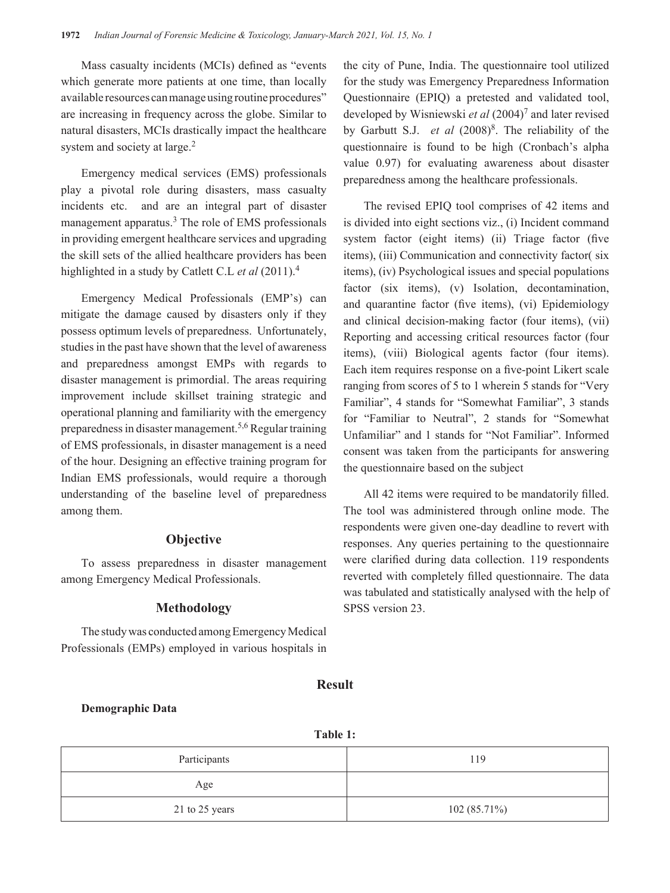Mass casualty incidents (MCIs) defined as "events which generate more patients at one time, than locally available resources can manage using routine procedures" are increasing in frequency across the globe. Similar to natural disasters, MCIs drastically impact the healthcare system and society at large.<sup>2</sup>

Emergency medical services (EMS) professionals play a pivotal role during disasters, mass casualty incidents etc. and are an integral part of disaster management apparatus.<sup>3</sup> The role of EMS professionals in providing emergent healthcare services and upgrading the skill sets of the allied healthcare providers has been highlighted in a study by Catlett C.L *et al* (2011).<sup>4</sup>

Emergency Medical Professionals (EMP's) can mitigate the damage caused by disasters only if they possess optimum levels of preparedness. Unfortunately, studies in the past have shown that the level of awareness and preparedness amongst EMPs with regards to disaster management is primordial. The areas requiring improvement include skillset training strategic and operational planning and familiarity with the emergency preparedness in disaster management.5,6 Regular training of EMS professionals, in disaster management is a need of the hour. Designing an effective training program for Indian EMS professionals, would require a thorough understanding of the baseline level of preparedness among them.

# **Objective**

To assess preparedness in disaster management among Emergency Medical Professionals.

## **Methodology**

The study was conducted among Emergency Medical Professionals (EMPs) employed in various hospitals in the city of Pune, India. The questionnaire tool utilized for the study was Emergency Preparedness Information Questionnaire (EPIQ) a pretested and validated tool, developed by Wisniewski *et al* (2004)<sup>7</sup> and later revised by Garbutt S.J. *et al* (2008)<sup>8</sup>. The reliability of the questionnaire is found to be high (Cronbach's alpha value 0.97) for evaluating awareness about disaster preparedness among the healthcare professionals.

The revised EPIQ tool comprises of 42 items and is divided into eight sections viz., (i) Incident command system factor (eight items) (ii) Triage factor (five items), (iii) Communication and connectivity factor( six items), (iv) Psychological issues and special populations factor (six items), (v) Isolation, decontamination, and quarantine factor (five items), (vi) Epidemiology and clinical decision-making factor (four items), (vii) Reporting and accessing critical resources factor (four items), (viii) Biological agents factor (four items). Each item requires response on a five-point Likert scale ranging from scores of 5 to 1 wherein 5 stands for "Very Familiar", 4 stands for "Somewhat Familiar", 3 stands for "Familiar to Neutral", 2 stands for "Somewhat Unfamiliar" and 1 stands for "Not Familiar". Informed consent was taken from the participants for answering the questionnaire based on the subject

All 42 items were required to be mandatorily filled. The tool was administered through online mode. The respondents were given one-day deadline to revert with responses. Any queries pertaining to the questionnaire were clarified during data collection. 119 respondents reverted with completely filled questionnaire. The data was tabulated and statistically analysed with the help of SPSS version 23.

**Result**

#### **Demographic Data**

**Table 1:**

| Participants   | 119            |
|----------------|----------------|
| Age            |                |
| 21 to 25 years | $102(85.71\%)$ |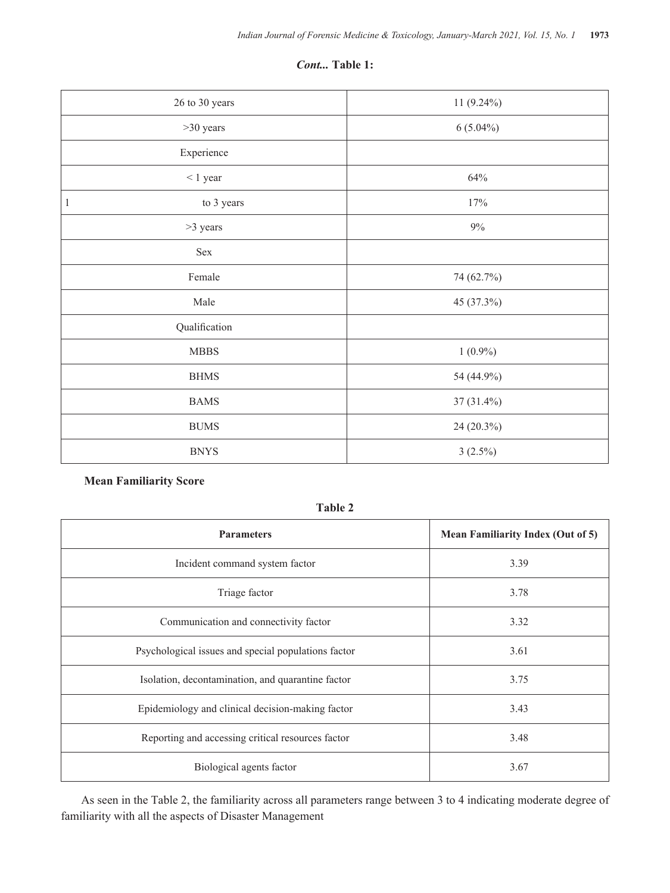#### *Cont...* **Table 1:**

| 26 to 30 years  | 11 (9.24%)  |
|-----------------|-------------|
| $>30$ years     | $6(5.04\%)$ |
| Experience      |             |
| $\leq 1$ year   | 64%         |
| to 3 years<br>1 | 17%         |
| >3 years        | $9\%$       |
| Sex             |             |
| Female          | 74 (62.7%)  |
| Male            | 45 (37.3%)  |
| Qualification   |             |
| ${\bf MBBS}$    | $1(0.9\%)$  |
| <b>BHMS</b>     | 54 (44.9%)  |
| <b>BAMS</b>     | 37 (31.4%)  |
| <b>BUMS</b>     | 24 (20.3%)  |
| <b>BNYS</b>     | $3(2.5\%)$  |

# **Mean Familiarity Score**

**Table 2**

| <b>Parameters</b>                                   | <b>Mean Familiarity Index (Out of 5)</b> |
|-----------------------------------------------------|------------------------------------------|
| Incident command system factor                      | 3.39                                     |
| Triage factor                                       | 3.78                                     |
| Communication and connectivity factor               | 3.32                                     |
| Psychological issues and special populations factor | 3.61                                     |
| Isolation, decontamination, and quarantine factor   | 3.75                                     |
| Epidemiology and clinical decision-making factor    | 3.43                                     |
| Reporting and accessing critical resources factor   | 3.48                                     |
| Biological agents factor                            | 3.67                                     |

As seen in the Table 2, the familiarity across all parameters range between 3 to 4 indicating moderate degree of familiarity with all the aspects of Disaster Management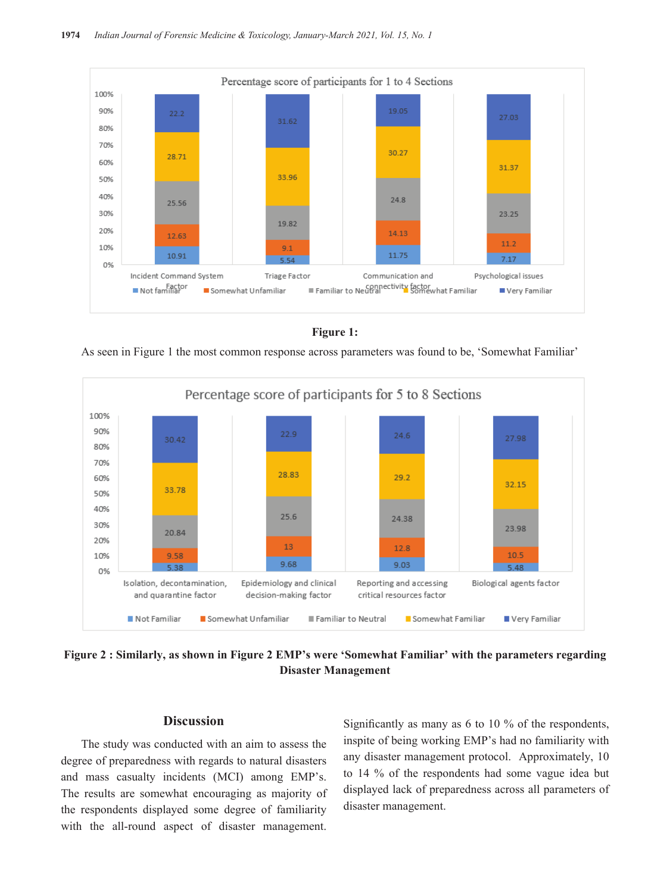

**Figure 1:**

As seen in Figure 1 the most common response across parameters was found to be, 'Somewhat Familiar'



**Figure 2 : Similarly, as shown in Figure 2 EMP's were 'Somewhat Familiar' with the parameters regarding Disaster Management**

## **Discussion**

The study was conducted with an aim to assess the degree of preparedness with regards to natural disasters and mass casualty incidents (MCI) among EMP's. The results are somewhat encouraging as majority of the respondents displayed some degree of familiarity with the all-round aspect of disaster management.

Significantly as many as 6 to 10 % of the respondents, inspite of being working EMP's had no familiarity with any disaster management protocol. Approximately, 10 to 14 % of the respondents had some vague idea but displayed lack of preparedness across all parameters of disaster management.